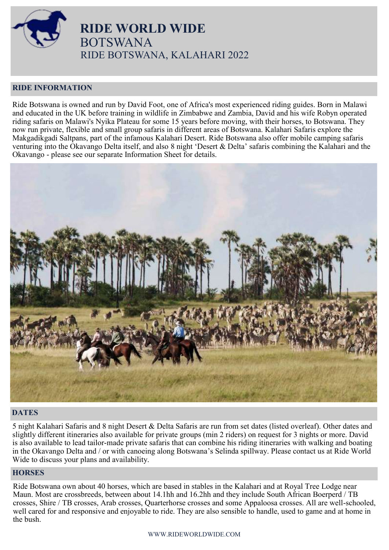

 **RIDE WORLD WIDE** BOTSWANA RIDE BOTSWANA, KALAHARI 2022

# **RIDE INFORMATION**

Ride Botswana is owned and run by David Foot, one of Africa's most experienced riding guides. Born in Malawi and educated in the UK before training in wildlife in Zimbabwe and Zambia, David and his wife Robyn operated riding safaris on Malawi's Nyika Plateau for some 15 years before moving, with their horses, to Botswana. They now run private, flexible and small group safaris in different areas of Botswana. Kalahari Safaris explore the Makgadikgadi Saltpans, part of the infamous Kalahari Desert. Ride Botswana also offer mobile camping safaris venturing into the Okavango Delta itself, and also 8 night 'Desert & Delta' safaris combining the Kalahari and the Okavango - please see our separate Information Sheet for details.



# **DATES**

5 night Kalahari Safaris and 8 night Desert & Delta Safaris are run from set dates (listed overleaf). Other dates and slightly different itineraries also available for private groups (min 2 riders) on request for 3 nights or more. David is also available to lead tailor-made private safaris that can combine his riding itineraries with walking and boating in the Okavango Delta and / or with canoeing along Botswana's Selinda spillway. Please contact us at Ride World Wide to discuss your plans and availability.

# **HORSES**

Ride Botswana own about 40 horses, which are based in stables in the Kalahari and at Royal Tree Lodge near Maun. Most are crossbreeds, between about 14.1hh and 16.2hh and they include South African Boerperd / TB crosses, Shire / TB crosses, Arab crosses, Quarterhorse crosses and some Appaloosa crosses. All are well-schooled, well cared for and responsive and enjoyable to ride. They are also sensible to handle, used to game and at home in the bush.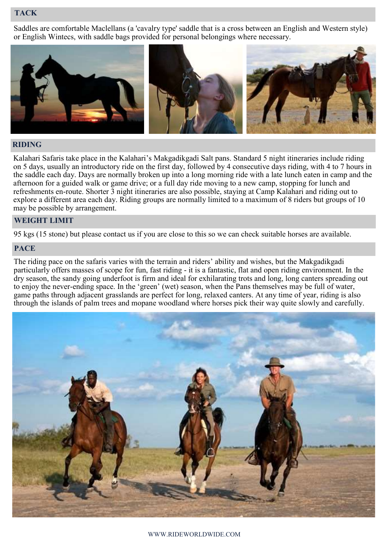# **TACK**

Saddles are comfortable Maclellans (a 'cavalry type' saddle that is a cross between an English and Western style) or English Wintecs, with saddle bags provided for personal belongings where necessary.



# **RIDING**

Kalahari Safaris take place in the Kalahari's Makgadikgadi Salt pans. Standard 5 night itineraries include riding on 5 days, usually an introductory ride on the first day, followed by 4 consecutive days riding, with 4 to 7 hours in the saddle each day. Days are normally broken up into a long morning ride with a late lunch eaten in camp and the afternoon for a guided walk or game drive; or a full day ride moving to a new camp, stopping for lunch and refreshments en-route. Shorter 3 night itineraries are also possible, staying at Camp Kalahari and riding out to explore a different area each day. Riding groups are normally limited to a maximum of 8 riders but groups of 10 may be possible by arrangement.

## **WEIGHT LIMIT**

95 kgs (15 stone) but please contact us if you are close to this so we can check suitable horses are available.

## **PACE**

The riding pace on the safaris varies with the terrain and riders' ability and wishes, but the Makgadikgadi particularly offers masses of scope for fun, fast riding - it is a fantastic, flat and open riding environment. In the dry season, the sandy going underfoot is firm and ideal for exhilarating trots and long, long canters spreading out to enjoy the never-ending space. In the 'green' (wet) season, when the Pans themselves may be full of water, game paths through adjacent grasslands are perfect for long, relaxed canters. At any time of year, riding is also through the islands of palm trees and mopane woodland where horses pick their way quite slowly and carefully.

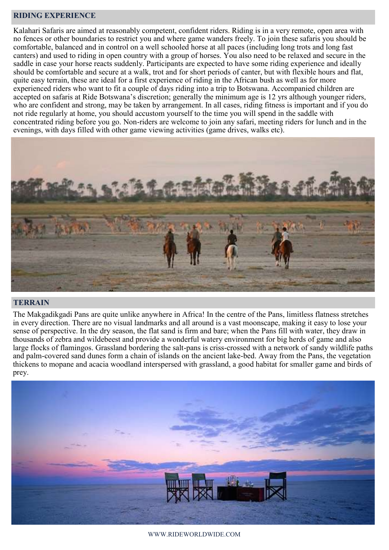# **RIDING EXPERIENCE**

Kalahari Safaris are aimed at reasonably competent, confident riders. Riding is in a very remote, open area with no fences or other boundaries to restrict you and where game wanders freely. To join these safaris you should be comfortable, balanced and in control on a well schooled horse at all paces (including long trots and long fast canters) and used to riding in open country with a group of horses. You also need to be relaxed and secure in the saddle in case your horse reacts suddenly. Participants are expected to have some riding experience and ideally should be comfortable and secure at a walk, trot and for short periods of canter, but with flexible hours and flat, quite easy terrain, these are ideal for a first experience of riding in the African bush as well as for more experienced riders who want to fit a couple of days riding into a trip to Botswana. Accompanied children are accepted on safaris at Ride Botswana's discretion; generally the minimum age is 12 yrs although younger riders, who are confident and strong, may be taken by arrangement. In all cases, riding fitness is important and if you do not ride regularly at home, you should accustom yourself to the time you will spend in the saddle with concentrated riding before you go. Non-riders are welcome to join any safari, meeting riders for lunch and in the evenings, with days filled with other game viewing activities (game drives, walks etc).



### **TERRAIN**

The Makgadikgadi Pans are quite unlike anywhere in Africa! In the centre of the Pans, limitless flatness stretches in every direction. There are no visual landmarks and all around is a vast moonscape, making it easy to lose your sense of perspective. In the dry season, the flat sand is firm and bare; when the Pans fill with water, they draw in thousands of zebra and wildebeest and provide a wonderful watery environment for big herds of game and also large flocks of flamingos. Grassland bordering the salt-pans is criss-crossed with a network of sandy wildlife paths and palm-covered sand dunes form a chain of islands on the ancient lake-bed. Away from the Pans, the vegetation thickens to mopane and acacia woodland interspersed with grassland, a good habitat for smaller game and birds of prey.



WWW.RIDEWORLDWIDE.COM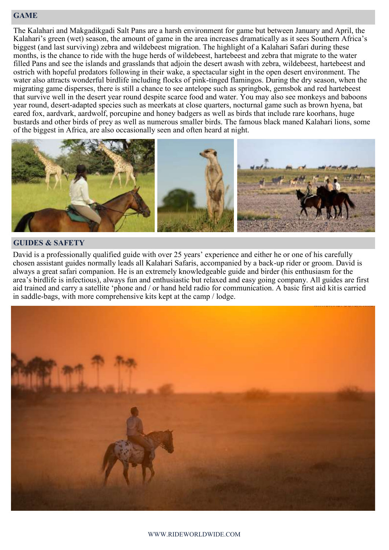# **GAME**

The Kalahari and Makgadikgadi Salt Pans are a harsh environment for game but between January and April, the Kalahari's green (wet) season, the amount of game in the area increases dramatically as it sees Southern Africa's biggest (and last surviving) zebra and wildebeest migration. The highlight of a Kalahari Safari during these months, is the chance to ride with the huge herds of wildebeest, hartebeest and zebra that migrate to the water filled Pans and see the islands and grasslands that adjoin the desert awash with zebra, wildebeest, hartebeest and ostrich with hopeful predators following in their wake, a spectacular sight in the open desert environment. The water also attracts wonderful birdlife including flocks of pink-tinged flamingos. During the dry season, when the migrating game disperses, there is still a chance to see antelope such as springbok, gemsbok and red hartebeest that survive well in the desert year round despite scarce food and water. You may also see monkeys and baboons year round, desert-adapted species such as meerkats at close quarters, nocturnal game such as brown hyena, bat eared fox, aardvark, aardwolf, porcupine and honey badgers as well as birds that include rare koorhans, huge bustards and other birds of prey as well as numerous smaller birds. The famous black maned Kalahari lions, some of the biggest in Africa, are also occasionally seen and often heard at night.



### **GUIDES & SAFETY**

David is a professionally qualified guide with over 25 years' experience and either he or one of his carefully chosen assistant guides normally leads all Kalahari Safaris, accompanied by a back-up rider or groom. David is always a great safari companion. He is an extremely knowledgeable guide and birder (his enthusiasm for the area's birdlife is infectious), always fun and enthusiastic but relaxed and easy going company. All guides are first aid trained and carry a satellite 'phone and / or hand held radio for communication. A basic first aid kitis carried in saddle-bags, with more comprehensive kits kept at the camp / lodge.

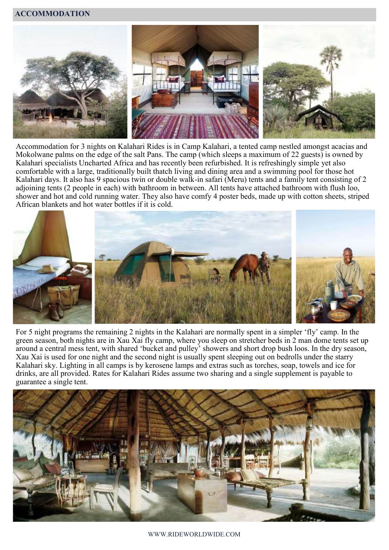## **ACCOMMODATION**



Accommodation for 3 nights on Kalahari Rides is in Camp Kalahari, a tented camp nestled amongst acacias and Mokolwane palms on the edge of the salt Pans. The camp (which sleeps a maximum of 22 guests) is owned by Kalahari specialists Uncharted Africa and has recently been refurbished. It is refreshingly simple yet also comfortable with a large, traditionally built thatch living and dining area and a swimming pool for those hot Kalahari days. It also has 9 spacious twin or double walk-in safari (Meru) tents and a family tent consisting of 2 adjoining tents (2 people in each) with bathroom in between. All tents have attached bathroom with flush loo, shower and hot and cold running water. They also have comfy 4 poster beds, made up with cotton sheets, striped African blankets and hot water bottles if it is cold.



For 5 night programs the remaining 2 nights in the Kalahari are normally spent in a simpler 'fly' camp. In the green season, both nights are in Xau Xai fly camp, where you sleep on stretcher beds in 2 man dome tents set up around a central mess tent, with shared 'bucket and pulley' showers and short drop bush loos. In the dry season, Xau Xai is used for one night and the second night is usually spent sleeping out on bedrolls under the starry Kalahari sky. Lighting in all camps is by kerosene lamps and extras such as torches, soap, towels and ice for drinks, are all provided. Rates for Kalahari Rides assume two sharing and a single supplement is payable to guarantee a single tent.

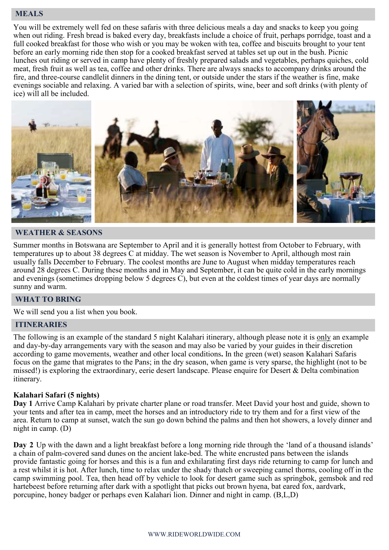# **MEALS**

You will be extremely well fed on these safaris with three delicious meals a day and snacks to keep you going when out riding. Fresh bread is baked every day, breakfasts include a choice of fruit, perhaps porridge, toast and a full cooked breakfast for those who wish or you may be woken with tea, coffee and biscuits brought to your tent before an early morning ride then stop for a cooked breakfast served at tables set up out in the bush. Picnic lunches out riding or served in camp have plenty of freshly prepared salads and vegetables, perhaps quiches, cold meat, fresh fruit as well as tea, coffee and other drinks. There are always snacks to accompany drinks around the fire, and three-course candlelit dinners in the dining tent, or outside under the stars if the weather is fine, make evenings sociable and relaxing. A varied bar with a selection of spirits, wine, beer and soft drinks (with plenty of ice) will all be included.



# **WEATHER & SEASONS**

Summer months in Botswana are September to April and it is generally hottest from October to February, with temperatures up to about 38 degrees C at midday. The wet season is November to April, although most rain usually falls December to February. The coolest months are June to August when midday temperatures reach around 28 degrees C. During these months and in May and September, it can be quite cold in the early mornings and evenings (sometimes dropping below 5 degrees C), but even at the coldest times of year days are normally sunny and warm.

# **WHAT TO BRING**

We will send you a list when you book.

### **ITINERARIES**

The following is an example of the standard 5 night Kalahari itinerary, although please note it is only an example and day-by-day arrangements vary with the season and may also be varied by your guides in their discretion according to game movements, weather and other local conditions**.** In the green (wet) season Kalahari Safaris focus on the game that migrates to the Pans; in the dry season, when game is very sparse, the highlight (not to be missed!) is exploring the extraordinary, eerie desert landscape. Please enquire for Desert & Delta combination itinerary.

### **Kalahari Safari (5 nights)**

**Day 1** Arrive Camp Kalahari by private charter plane or road transfer. Meet David your host and guide, shown to your tents and after tea in camp, meet the horses and an introductory ride to try them and for a first view of the area. Return to camp at sunset, watch the sun go down behind the palms and then hot showers, a lovely dinner and night in camp. (D)

**Day 2** Up with the dawn and a light breakfast before a long morning ride through the 'land of a thousand islands' a chain of palm-covered sand dunes on the ancient lake-bed. The white encrusted pans between the islands provide fantastic going for horses and this is a fun and exhilarating first days ride returning to camp for lunch and a rest whilst it is hot. After lunch, time to relax under the shady thatch or sweeping camel thorns, cooling off in the camp swimming pool. Tea, then head off by vehicle to look for desert game such as springbok, gemsbok and red hartebeest before returning after dark with a spotlight that picks out brown hyena, bat eared fox, aardvark, porcupine, honey badger or perhaps even Kalahari lion. Dinner and night in camp. (B,L,D)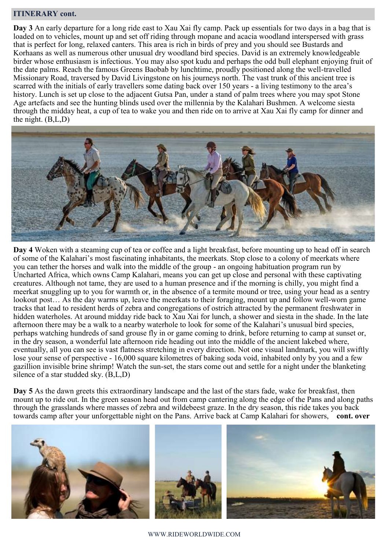## **ITINERARY cont.**

**Day 3** An early departure for a long ride east to Xau Xai fly camp. Pack up essentials for two days in a bag that is loaded on to vehicles, mount up and set off riding through mopane and acacia woodland interspersed with grass that is perfect for long, relaxed canters. This area is rich in birds of prey and you should see Bustards and Korhaans as well as numerous other unusual dry woodland bird species. David is an extremely knowledgeable birder whose enthusiasm is infectious. You may also spot kudu and perhaps the odd bull elephant enjoying fruit of the date palms. Reach the famous Greens Baobab by lunchtime, proudly positioned along the well-travelled Missionary Road, traversed by David Livingstone on his journeys north. The vast trunk of this ancient tree is scarred with the initials of early travellers some dating back over 150 years - a living testimony to the area's history. Lunch is set up close to the adjacent Gutsa Pan, under a stand of palm trees where you may spot Stone Age artefacts and see the hunting blinds used over the millennia by the Kalahari Bushmen. A welcome siesta through the midday heat, a cup of tea to wake you and then ride on to arrive at Xau Xai fly camp for dinner and the night. (B,L,D)



**Day 4** Woken with a steaming cup of tea or coffee and a light breakfast, before mounting up to head off in search of some of the Kalahari's most fascinating inhabitants, the meerkats. Stop close to a colony of meerkats where you can tether the horses and walk into the middle of the group - an ongoing habituation program run by Uncharted Africa, which owns Camp Kalahari, means you can get up close and personal with these captivating creatures. Although not tame, they are used to a human presence and if the morning is chilly, you might find a meerkat snuggling up to you for warmth or, in the absence of a termite mound or tree, using your head as a sentry lookout post… As the day warms up, leave the meerkats to their foraging, mount up and follow well-worn game tracks that lead to resident herds of zebra and congregations of ostrich attracted by the permanent freshwater in hidden waterholes. At around midday ride back to Xau Xai for lunch, a shower and siesta in the shade. In the late afternoon there may be a walk to a nearby waterhole to look for some of the Kalahari's unusual bird species, perhaps watching hundreds of sand grouse fly in or game coming to drink, before returning to camp at sunset or, in the dry season, a wonderful late afternoon ride heading out into the middle of the ancient lakebed where, eventually, all you can see is vast flatness stretching in every direction. Not one visual landmark, you will swiftly lose your sense of perspective - 16,000 square kilometres of baking soda void, inhabited only by you and a few gazillion invisible brine shrimp! Watch the sun-set, the stars come out and settle for a night under the blanketing silence of a star studded sky. (B,L,D)

**Day 5** As the dawn greets this extraordinary landscape and the last of the stars fade, wake for breakfast, then mount up to ride out. In the green season head out from camp cantering along the edge of the Pans and along paths through the grasslands where masses of zebra and wildebeest graze. In the dry season, this ride takes you back towards camp after your unforgettable night on the Pans. Arrive back at Camp Kalahari for showers, **cont. over**

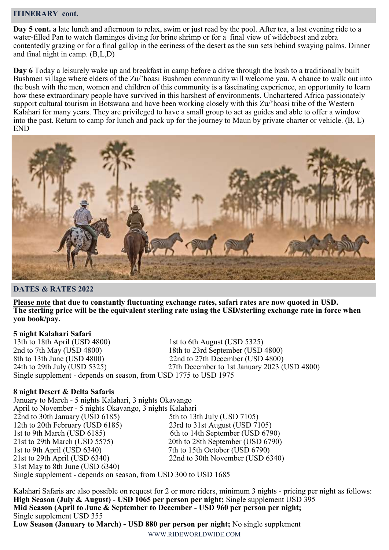## **ITINERARY cont.**

**Day 5 cont.** a late lunch and afternoon to relax, swim or just read by the pool. After tea, a last evening ride to a water-filled Pan to watch flamingos diving for brine shrimp or for a final view of wildebeest and zebra contentedly grazing or for a final gallop in the eeriness of the desert as the sun sets behind swaying palms. Dinner and final night in camp. (B,L,D)

**Day 6** Today a leisurely wake up and breakfast in camp before a drive through the bush to a traditionally built Bushmen village where elders of the Zu/'hoasi Bushmen community will welcome you. A chance to walk out into the bush with the men, women and children of this community is a fascinating experience, an opportunity to learn how these extraordinary people have survived in this harshest of environments. Unchartered Africa passionately support cultural tourism in Botswana and have been working closely with this Zu/'hoasi tribe of the Western Kalahari for many years. They are privileged to have a small group to act as guides and able to offer a window into the past. Return to camp for lunch and pack up for the journey to Maun by private charter or vehicle. (B, L) END



### **DATES & RATES 2022**

**Please note that due to constantly fluctuating exchange rates, safari rates are now quoted in USD. The sterling price will be the equivalent sterling rate using the USD/sterling exchange rate in force when you book/pay.** 

### **5 night Kalahari Safari**

13th to 18th April (USD 4800) 1st to 6th August (USD 5325) 2nd to 7th May (USD 4800) 18th to 23rd September (USD 4800) 8th to 13th June (USD 4800) 22nd to 27th December (USD 4800) 24th to 29th July (USD 5325) 27th December to 1st January 2023 (USD 4800) Single supplement - depends on season, from USD 1775 to USD 1975

### **8 night Desert & Delta Safaris**

January to March - 5 nights Kalahari, 3 nights Okavango April to November - 5 nights Okavango, 3 nights Kalahari 22nd to 30th January (USD 6185) 5th to 13th July (USD 7105) 12th to 20th February (USD 6185) 23rd to 31st August (USD 7105) 1st to 9th March (USD 6185) 6th to 14th September (USD 6790) 21st to 29th March (USD 5575) 20th to 28th September (USD 6790) 1st to 9th April (USD 6340) 7th to 15th October (USD 6790) 21st to 29th April (USD 6340) 22nd to 30th November (USD 6340) 31st May to 8th June (USD 6340) Single supplement - depends on season, from USD 300 to USD 1685

Kalahari Safaris are also possible on request for 2 or more riders, minimum 3 nights - pricing per night as follows: **High Season (July & August) - USD 1065 per person per night;** Single supplement USD 395 **Mid Season (April to June & September to December - USD 960 per person per night;**  Single supplement USD 355 **Low Season (January to March) - USD 880 per person per night;** No single supplement

WWW.RIDEWORLDWIDE.COM